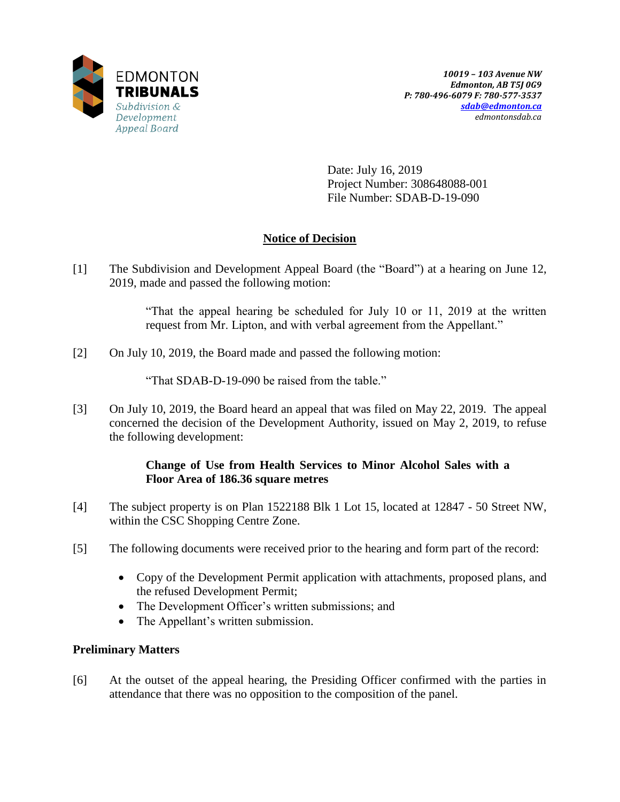

Date: July 16, 2019 Project Number: 308648088-001 File Number: SDAB-D-19-090

# **Notice of Decision**

[1] The Subdivision and Development Appeal Board (the "Board") at a hearing on June 12, 2019, made and passed the following motion:

> "That the appeal hearing be scheduled for July 10 or 11, 2019 at the written request from Mr. Lipton, and with verbal agreement from the Appellant."

[2] On July 10, 2019, the Board made and passed the following motion:

"That SDAB-D-19-090 be raised from the table."

[3] On July 10, 2019, the Board heard an appeal that was filed on May 22, 2019. The appeal concerned the decision of the Development Authority, issued on May 2, 2019, to refuse the following development:

## **Change of Use from Health Services to Minor Alcohol Sales with a Floor Area of 186.36 square metres**

- [4] The subject property is on Plan 1522188 Blk 1 Lot 15, located at 12847 50 Street NW, within the CSC Shopping Centre Zone.
- [5] The following documents were received prior to the hearing and form part of the record:
	- Copy of the Development Permit application with attachments, proposed plans, and the refused Development Permit;
	- The Development Officer's written submissions; and
	- The Appellant's written submission.

# **Preliminary Matters**

[6] At the outset of the appeal hearing, the Presiding Officer confirmed with the parties in attendance that there was no opposition to the composition of the panel.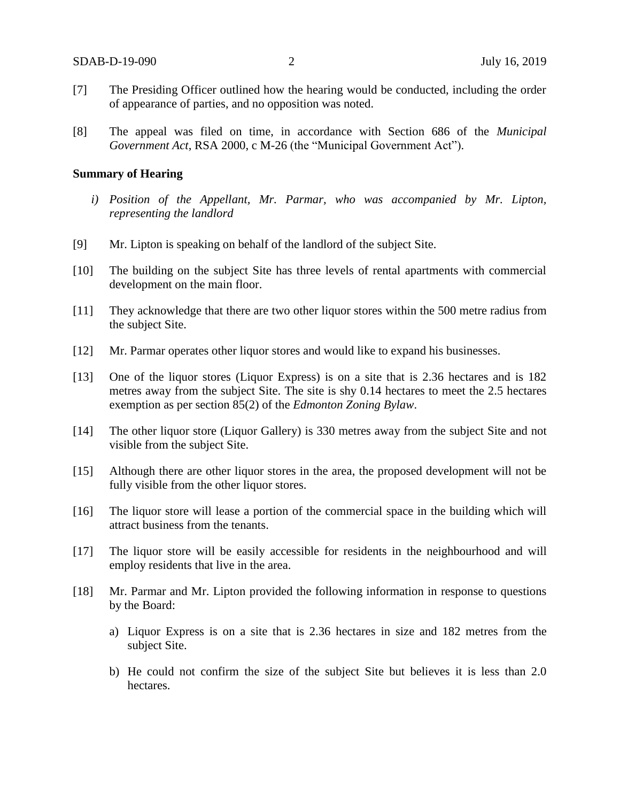- [7] The Presiding Officer outlined how the hearing would be conducted, including the order of appearance of parties, and no opposition was noted.
- [8] The appeal was filed on time, in accordance with Section 686 of the *Municipal Government Act*, RSA 2000, c M-26 (the "Municipal Government Act").

#### **Summary of Hearing**

- *i) Position of the Appellant, Mr. Parmar, who was accompanied by Mr. Lipton, representing the landlord*
- [9] Mr. Lipton is speaking on behalf of the landlord of the subject Site.
- [10] The building on the subject Site has three levels of rental apartments with commercial development on the main floor.
- [11] They acknowledge that there are two other liquor stores within the 500 metre radius from the subject Site.
- [12] Mr. Parmar operates other liquor stores and would like to expand his businesses.
- [13] One of the liquor stores (Liquor Express) is on a site that is 2.36 hectares and is 182 metres away from the subject Site. The site is shy 0.14 hectares to meet the 2.5 hectares exemption as per section 85(2) of the *Edmonton Zoning Bylaw*.
- [14] The other liquor store (Liquor Gallery) is 330 metres away from the subject Site and not visible from the subject Site.
- [15] Although there are other liquor stores in the area, the proposed development will not be fully visible from the other liquor stores.
- [16] The liquor store will lease a portion of the commercial space in the building which will attract business from the tenants.
- [17] The liquor store will be easily accessible for residents in the neighbourhood and will employ residents that live in the area.
- [18] Mr. Parmar and Mr. Lipton provided the following information in response to questions by the Board:
	- a) Liquor Express is on a site that is 2.36 hectares in size and 182 metres from the subject Site.
	- b) He could not confirm the size of the subject Site but believes it is less than 2.0 hectares.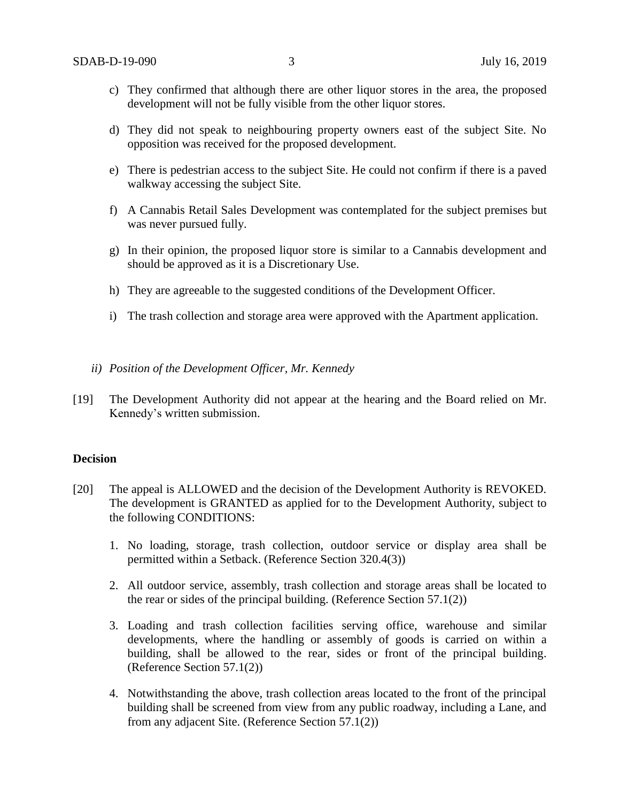- c) They confirmed that although there are other liquor stores in the area, the proposed development will not be fully visible from the other liquor stores.
- d) They did not speak to neighbouring property owners east of the subject Site. No opposition was received for the proposed development.
- e) There is pedestrian access to the subject Site. He could not confirm if there is a paved walkway accessing the subject Site.
- f) A Cannabis Retail Sales Development was contemplated for the subject premises but was never pursued fully.
- g) In their opinion, the proposed liquor store is similar to a Cannabis development and should be approved as it is a Discretionary Use.
- h) They are agreeable to the suggested conditions of the Development Officer.
- i) The trash collection and storage area were approved with the Apartment application.
- *ii) Position of the Development Officer, Mr. Kennedy*
- [19] The Development Authority did not appear at the hearing and the Board relied on Mr. Kennedy's written submission.

## **Decision**

- [20] The appeal is ALLOWED and the decision of the Development Authority is REVOKED. The development is GRANTED as applied for to the Development Authority, subject to the following CONDITIONS:
	- 1. No loading, storage, trash collection, outdoor service or display area shall be permitted within a Setback. (Reference Section 320.4(3))
	- 2. All outdoor service, assembly, trash collection and storage areas shall be located to the rear or sides of the principal building. (Reference Section 57.1(2))
	- 3. Loading and trash collection facilities serving office, warehouse and similar developments, where the handling or assembly of goods is carried on within a building, shall be allowed to the rear, sides or front of the principal building. (Reference Section 57.1(2))
	- 4. Notwithstanding the above, trash collection areas located to the front of the principal building shall be screened from view from any public roadway, including a Lane, and from any adjacent Site. (Reference Section 57.1(2))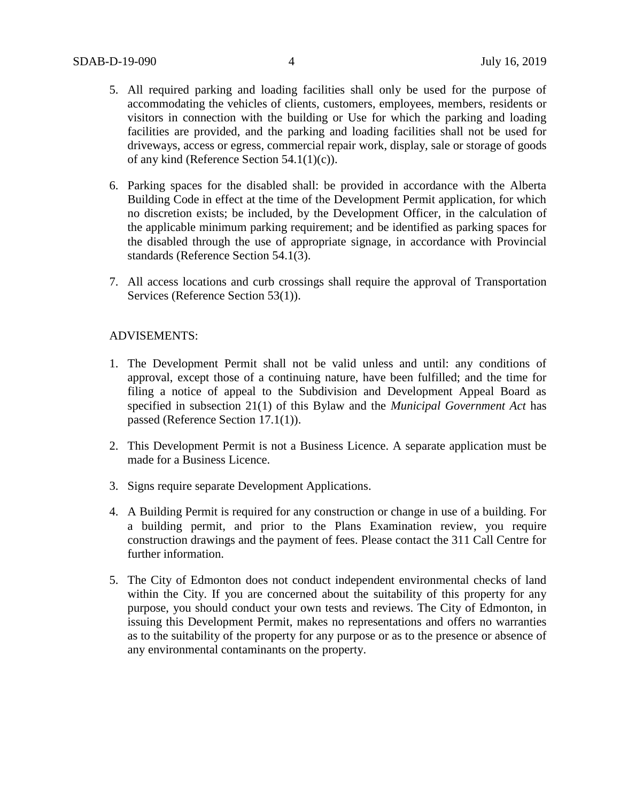- 5. All required parking and loading facilities shall only be used for the purpose of accommodating the vehicles of clients, customers, employees, members, residents or visitors in connection with the building or Use for which the parking and loading facilities are provided, and the parking and loading facilities shall not be used for driveways, access or egress, commercial repair work, display, sale or storage of goods of any kind (Reference Section 54.1(1)(c)).
- 6. Parking spaces for the disabled shall: be provided in accordance with the Alberta Building Code in effect at the time of the Development Permit application, for which no discretion exists; be included, by the Development Officer, in the calculation of the applicable minimum parking requirement; and be identified as parking spaces for the disabled through the use of appropriate signage, in accordance with Provincial standards (Reference Section 54.1(3).
- 7. All access locations and curb crossings shall require the approval of Transportation Services (Reference Section 53(1)).

#### ADVISEMENTS:

- 1. The Development Permit shall not be valid unless and until: any conditions of approval, except those of a continuing nature, have been fulfilled; and the time for filing a notice of appeal to the Subdivision and Development Appeal Board as specified in subsection 21(1) of this Bylaw and the *Municipal Government Act* has passed (Reference Section 17.1(1)).
- 2. This Development Permit is not a Business Licence. A separate application must be made for a Business Licence.
- 3. Signs require separate Development Applications.
- 4. A Building Permit is required for any construction or change in use of a building. For a building permit, and prior to the Plans Examination review, you require construction drawings and the payment of fees. Please contact the 311 Call Centre for further information.
- 5. The City of Edmonton does not conduct independent environmental checks of land within the City. If you are concerned about the suitability of this property for any purpose, you should conduct your own tests and reviews. The City of Edmonton, in issuing this Development Permit, makes no representations and offers no warranties as to the suitability of the property for any purpose or as to the presence or absence of any environmental contaminants on the property.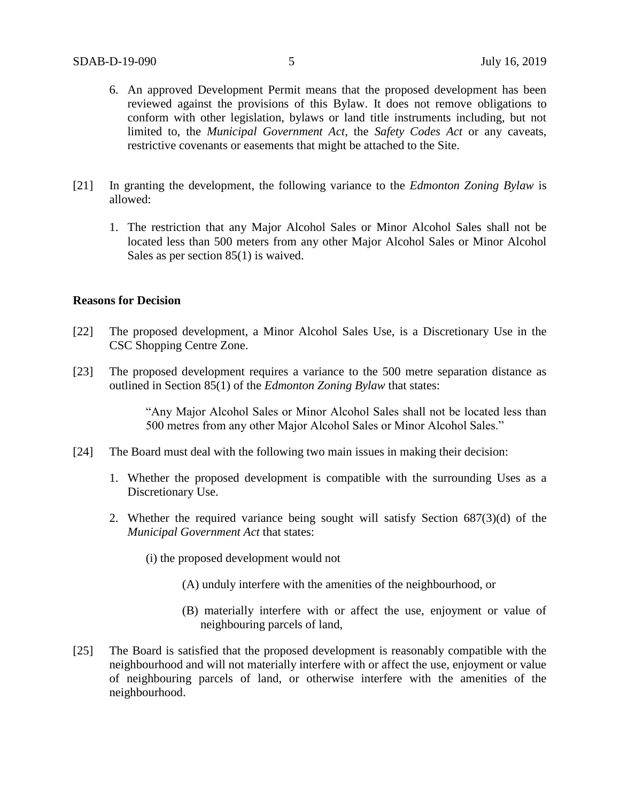- 6. An approved Development Permit means that the proposed development has been reviewed against the provisions of this Bylaw. It does not remove obligations to conform with other legislation, bylaws or land title instruments including, but not limited to, the *Municipal Government Act*, the *Safety Codes Act* or any caveats, restrictive covenants or easements that might be attached to the Site.
- [21] In granting the development, the following variance to the *Edmonton Zoning Bylaw* is allowed:
	- 1. The restriction that any Major Alcohol Sales or Minor Alcohol Sales shall not be located less than 500 meters from any other Major Alcohol Sales or Minor Alcohol Sales as per section 85(1) is waived.

## **Reasons for Decision**

- [22] The proposed development, a Minor Alcohol Sales Use, is a Discretionary Use in the CSC Shopping Centre Zone.
- [23] The proposed development requires a variance to the 500 metre separation distance as outlined in Section 85(1) of the *Edmonton Zoning Bylaw* that states:

"Any Major Alcohol Sales or Minor Alcohol Sales shall not be located less than 500 metres from any other Major Alcohol Sales or Minor Alcohol Sales."

- [24] The Board must deal with the following two main issues in making their decision:
	- 1. Whether the proposed development is compatible with the surrounding Uses as a Discretionary Use.
	- 2. Whether the required variance being sought will satisfy Section 687(3)(d) of the *Municipal Government Act* that states:
		- (i) the proposed development would not
			- (A) unduly interfere with the amenities of the neighbourhood, or
			- (B) materially interfere with or affect the use, enjoyment or value of neighbouring parcels of land,
- [25] The Board is satisfied that the proposed development is reasonably compatible with the neighbourhood and will not materially interfere with or affect the use, enjoyment or value of neighbouring parcels of land, or otherwise interfere with the amenities of the neighbourhood.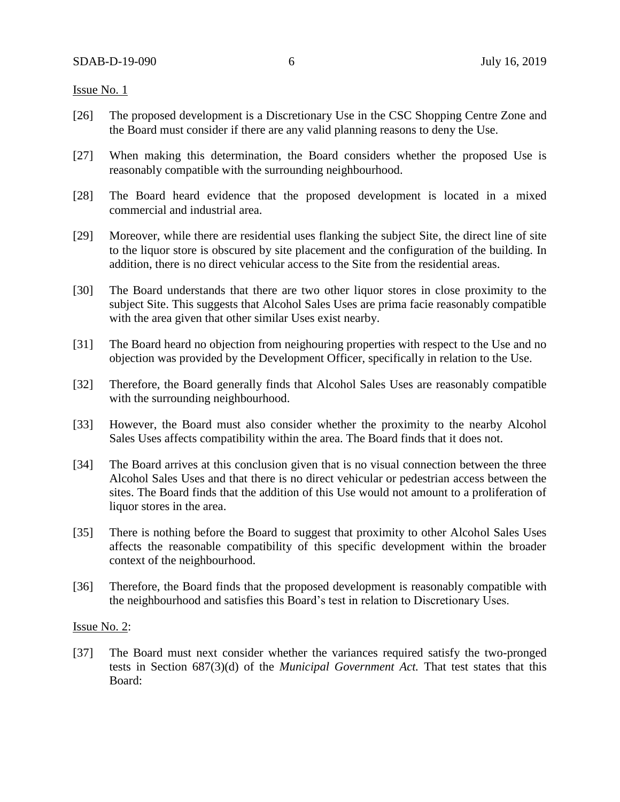#### Issue No. 1

- [26] The proposed development is a Discretionary Use in the CSC Shopping Centre Zone and the Board must consider if there are any valid planning reasons to deny the Use.
- [27] When making this determination, the Board considers whether the proposed Use is reasonably compatible with the surrounding neighbourhood.
- [28] The Board heard evidence that the proposed development is located in a mixed commercial and industrial area.
- [29] Moreover, while there are residential uses flanking the subject Site, the direct line of site to the liquor store is obscured by site placement and the configuration of the building. In addition, there is no direct vehicular access to the Site from the residential areas.
- [30] The Board understands that there are two other liquor stores in close proximity to the subject Site. This suggests that Alcohol Sales Uses are prima facie reasonably compatible with the area given that other similar Uses exist nearby.
- [31] The Board heard no objection from neighouring properties with respect to the Use and no objection was provided by the Development Officer, specifically in relation to the Use.
- [32] Therefore, the Board generally finds that Alcohol Sales Uses are reasonably compatible with the surrounding neighbourhood.
- [33] However, the Board must also consider whether the proximity to the nearby Alcohol Sales Uses affects compatibility within the area. The Board finds that it does not.
- [34] The Board arrives at this conclusion given that is no visual connection between the three Alcohol Sales Uses and that there is no direct vehicular or pedestrian access between the sites. The Board finds that the addition of this Use would not amount to a proliferation of liquor stores in the area.
- [35] There is nothing before the Board to suggest that proximity to other Alcohol Sales Uses affects the reasonable compatibility of this specific development within the broader context of the neighbourhood.
- [36] Therefore, the Board finds that the proposed development is reasonably compatible with the neighbourhood and satisfies this Board's test in relation to Discretionary Uses.

#### Issue No. 2:

[37] The Board must next consider whether the variances required satisfy the two-pronged tests in Section 687(3)(d) of the *Municipal Government Act.* That test states that this Board: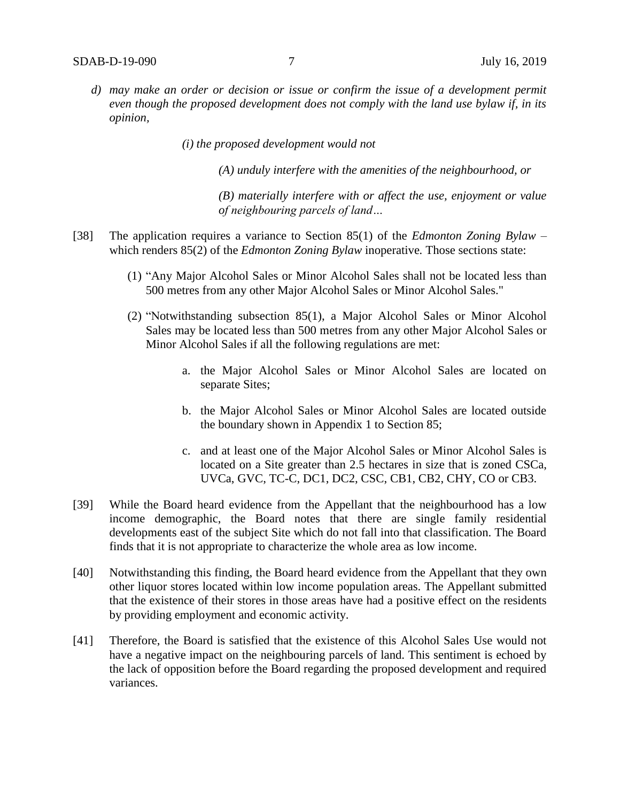- *d) may make an order or decision or issue or confirm the issue of a development permit even though the proposed development does not comply with the land use bylaw if, in its opinion,*
	- *(i) the proposed development would not*

*(A) unduly interfere with the amenities of the neighbourhood, or* 

*(B) materially interfere with or affect the use, enjoyment or value of neighbouring parcels of land…*

- [38] The application requires a variance to Section 85(1) of the *Edmonton Zoning Bylaw* which renders 85(2) of the *Edmonton Zoning Bylaw* inoperative. Those sections state:
	- (1) "Any Major Alcohol Sales or Minor Alcohol Sales shall not be located less than 500 metres from any other Major Alcohol Sales or Minor Alcohol Sales."
	- (2) "Notwithstanding subsection 85(1), a Major Alcohol Sales or Minor Alcohol Sales may be located less than 500 metres from any other Major Alcohol Sales or Minor Alcohol Sales if all the following regulations are met:
		- a. the Major Alcohol Sales or Minor Alcohol Sales are located on separate Sites;
		- b. the Major Alcohol Sales or Minor Alcohol Sales are located outside the boundary shown in Appendix 1 to Section 85;
		- c. and at least one of the Major Alcohol Sales or Minor Alcohol Sales is located on a Site greater than 2.5 hectares in size that is zoned CSCa, UVCa, GVC, TC-C, DC1, DC2, CSC, CB1, CB2, CHY, CO or CB3.
- [39] While the Board heard evidence from the Appellant that the neighbourhood has a low income demographic, the Board notes that there are single family residential developments east of the subject Site which do not fall into that classification. The Board finds that it is not appropriate to characterize the whole area as low income.
- [40] Notwithstanding this finding, the Board heard evidence from the Appellant that they own other liquor stores located within low income population areas. The Appellant submitted that the existence of their stores in those areas have had a positive effect on the residents by providing employment and economic activity.
- [41] Therefore, the Board is satisfied that the existence of this Alcohol Sales Use would not have a negative impact on the neighbouring parcels of land. This sentiment is echoed by the lack of opposition before the Board regarding the proposed development and required variances.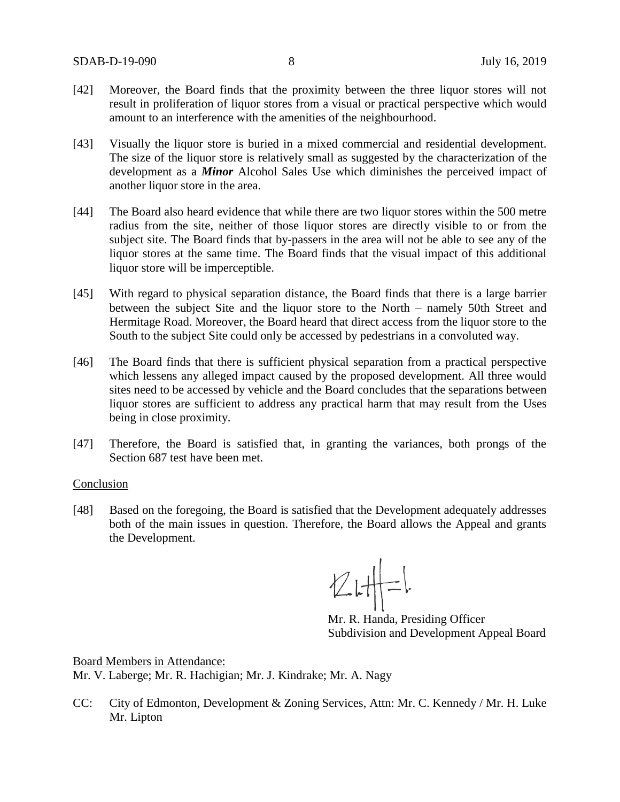- [42] Moreover, the Board finds that the proximity between the three liquor stores will not result in proliferation of liquor stores from a visual or practical perspective which would amount to an interference with the amenities of the neighbourhood.
- [43] Visually the liquor store is buried in a mixed commercial and residential development. The size of the liquor store is relatively small as suggested by the characterization of the development as a *Minor* Alcohol Sales Use which diminishes the perceived impact of another liquor store in the area.
- [44] The Board also heard evidence that while there are two liquor stores within the 500 metre radius from the site, neither of those liquor stores are directly visible to or from the subject site. The Board finds that by-passers in the area will not be able to see any of the liquor stores at the same time. The Board finds that the visual impact of this additional liquor store will be imperceptible.
- [45] With regard to physical separation distance, the Board finds that there is a large barrier between the subject Site and the liquor store to the North – namely 50th Street and Hermitage Road. Moreover, the Board heard that direct access from the liquor store to the South to the subject Site could only be accessed by pedestrians in a convoluted way.
- [46] The Board finds that there is sufficient physical separation from a practical perspective which lessens any alleged impact caused by the proposed development. All three would sites need to be accessed by vehicle and the Board concludes that the separations between liquor stores are sufficient to address any practical harm that may result from the Uses being in close proximity.
- [47] Therefore, the Board is satisfied that, in granting the variances, both prongs of the Section 687 test have been met.

#### Conclusion

[48] Based on the foregoing, the Board is satisfied that the Development adequately addresses both of the main issues in question. Therefore, the Board allows the Appeal and grants the Development.

 $Z$   $H = 1$ 

Mr. R. Handa, Presiding Officer Subdivision and Development Appeal Board

Board Members in Attendance: Mr. V. Laberge; Mr. R. Hachigian; Mr. J. Kindrake; Mr. A. Nagy

CC: City of Edmonton, Development & Zoning Services, Attn: Mr. C. Kennedy / Mr. H. Luke Mr. Lipton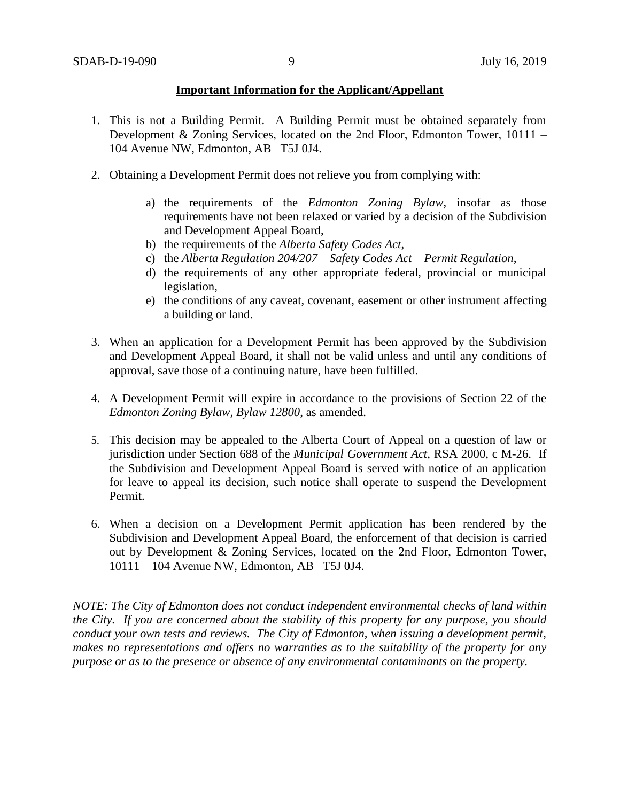### **Important Information for the Applicant/Appellant**

- 1. This is not a Building Permit. A Building Permit must be obtained separately from Development & Zoning Services, located on the 2nd Floor, Edmonton Tower, 10111 – 104 Avenue NW, Edmonton, AB T5J 0J4.
- 2. Obtaining a Development Permit does not relieve you from complying with:
	- a) the requirements of the *Edmonton Zoning Bylaw*, insofar as those requirements have not been relaxed or varied by a decision of the Subdivision and Development Appeal Board,
	- b) the requirements of the *Alberta Safety Codes Act*,
	- c) the *Alberta Regulation 204/207 – Safety Codes Act – Permit Regulation*,
	- d) the requirements of any other appropriate federal, provincial or municipal legislation,
	- e) the conditions of any caveat, covenant, easement or other instrument affecting a building or land.
- 3. When an application for a Development Permit has been approved by the Subdivision and Development Appeal Board, it shall not be valid unless and until any conditions of approval, save those of a continuing nature, have been fulfilled.
- 4. A Development Permit will expire in accordance to the provisions of Section 22 of the *Edmonton Zoning Bylaw, Bylaw 12800*, as amended.
- 5. This decision may be appealed to the Alberta Court of Appeal on a question of law or jurisdiction under Section 688 of the *Municipal Government Act*, RSA 2000, c M-26. If the Subdivision and Development Appeal Board is served with notice of an application for leave to appeal its decision, such notice shall operate to suspend the Development Permit.
- 6. When a decision on a Development Permit application has been rendered by the Subdivision and Development Appeal Board, the enforcement of that decision is carried out by Development & Zoning Services, located on the 2nd Floor, Edmonton Tower, 10111 – 104 Avenue NW, Edmonton, AB T5J 0J4.

*NOTE: The City of Edmonton does not conduct independent environmental checks of land within the City. If you are concerned about the stability of this property for any purpose, you should conduct your own tests and reviews. The City of Edmonton, when issuing a development permit, makes no representations and offers no warranties as to the suitability of the property for any purpose or as to the presence or absence of any environmental contaminants on the property.*